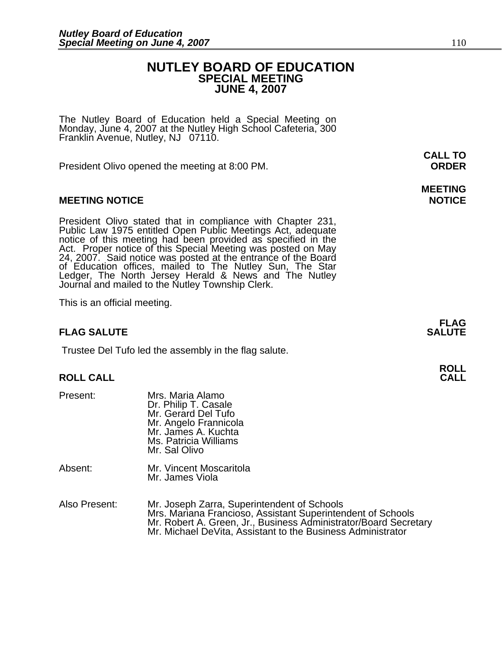# **NUTLEY BOARD OF EDUCATION SPECIAL MEETING JUNE 4, 2007**

The Nutley Board of Education held a Special Meeting on Monday, June 4, 2007 at the Nutley High School Cafeteria, 300 Franklin Avenue, Nutley, NJ 07110.

President Olivo opened the meeting at 8:00 PM. **ORDER**

# **MEETING NOTICE NOTICE REPORTS AND ALCOHOL**

President Olivo stated that in compliance with Chapter 231,<br>Public Law 1975 entitled Open Public Meetings Act, adequate<br>notice of this meeting had been provided as specified in the<br>Act. Proper notice of this Special Meetin of Education offices, mailed to The Nutley Sun, The Star Ledger, The North Jersey Herald & News and The Nutley Journal and mailed to the Nutley Township Clerk.

This is an official meeting.

# **FLAG SALUTE** SALUTE

Trustee Del Tufo led the assembly in the flag salute.

# **ROLL ROLL CALL CALL**

| Present: | Mrs. Maria Alamo<br>Dr. Philip T. Casale<br>Mr. Gerard Del Tufo<br>Mr. Angelo Frannicola<br>Mr. James A. Kuchta<br>Ms. Patricia Williams<br>Mr. Sal Olivo |
|----------|-----------------------------------------------------------------------------------------------------------------------------------------------------------|
| Absent:  | Mr. Vincent Moscaritola<br>Mr. James Viola                                                                                                                |

Also Present: Mr. Joseph Zarra, Superintendent of Schools<br>Mrs. Mariana Francioso, Assistant Superintendent of Schools Mr. Robert A. Green, Jr., Business Administrator/Board Secretary<br>Mr. Michael DeVita, Assistant to the Business Administrator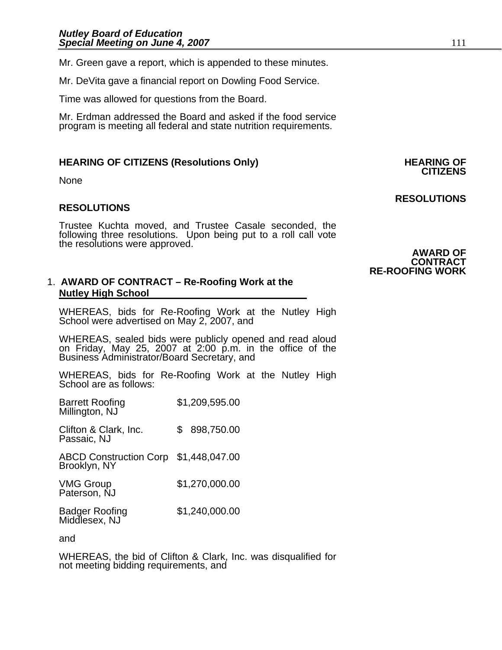Mr. Green gave a report, which is appended to these minutes.

Mr. DeVita gave a financial report on Dowling Food Service.

Time was allowed for questions from the Board.

Mr. Erdman addressed the Board and asked if the food service program is meeting all federal and state nutrition requirements.

# **HEARING OF CITIZENS (Resolutions Only) HEARING OF CITIZENS**

None

# **RESOLUTIONS**

Trustee Kuchta moved, and Trustee Casale seconded, the following three resolutions. Upon being put to a roll call vote the resolutions were approved.

#### 1. **AWARD OF CONTRACT – Re-Roofing Work at the Nutley High School**

WHEREAS, bids for Re-Roofing Work at the Nutley High School were advertised on May 2, 2007, and

WHEREAS, sealed bids were publicly opened and read aloud on Friday, May 25, 2007 at 2:00 p.m. in the office of the Business Administrator/Board Secretary, and

WHEREAS, bids for Re-Roofing Work at the Nutley High School are as follows:

| Barrett Roofing<br>Millington, NJ                     | \$1,209,595.00 |
|-------------------------------------------------------|----------------|
| Clifton & Clark, Inc.<br>Passaic, NJ                  | 898,750.00     |
| ABCD Construction Corp \$1,448,047.00<br>Brooklyn, NY |                |
| VMG Group<br>Paterson, NJ                             | \$1,270,000.00 |
| <b>Badger Roofing</b>                                 | \$1,240,000.00 |

Middlesex, NJ

and

WHEREAS, the bid of Clifton & Clark, Inc. was disqualified for not meeting bidding requirements, and

# **AWARD OF CONTRACT**

#### **RE-ROOFING WORK**

**RESOLUTIONS**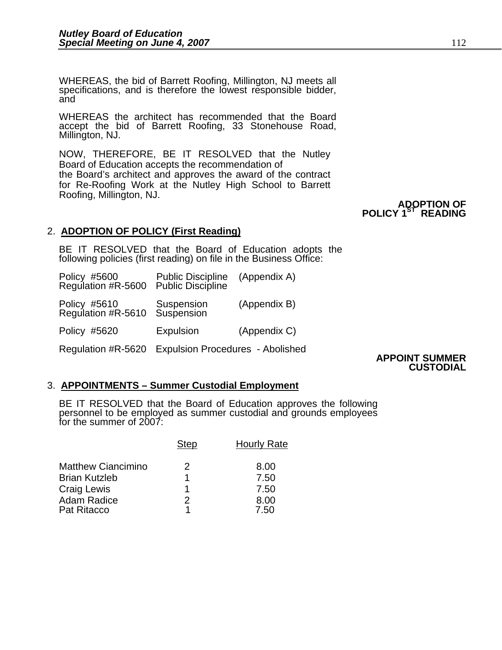WHEREAS, the bid of Barrett Roofing, Millington, NJ meets all specifications, and is therefore the lowest responsible bidder, and

WHEREAS the architect has recommended that the Board accept the bid of Barrett Roofing, 33 Stonehouse Road, Millington, NJ.

NOW, THEREFORE, BE IT RESOLVED that the Nutley Board of Education accepts the recommendation of the Board's architect and approves the award of the contract for Re-Roofing Work at the Nutley High School to Barrett Roofing, Millington, NJ.

#### **ADOPTION OF POLICY 1ST READING**

# 2. **ADOPTION OF POLICY (First Reading)**

BE IT RESOLVED that the Board of Education adopts the following policies (first reading) on file in the Business Office:

| Policy #5600<br>Regulation #R-5600 | Public Discipline<br>Public Discipline  | (Appendix A) |
|------------------------------------|-----------------------------------------|--------------|
| Policy #5610<br>Regulation #R-5610 | Suspension<br>Suspension                | (Appendix B) |
| Policy #5620                       | <b>Expulsion</b>                        | (Appendix C) |
| Regulation #R-5620                 | <b>Expulsion Procedures - Abolished</b> |              |

#### Regulation #R-5620 Expulsion Procedures - Abolished **APPOINT SUMMER CUSTODIAL**

# 3. **APPOINTMENTS – Summer Custodial Employment**

BE IT RESOLVED that the Board of Education approves the following<br>personnel to be employed as summer custodial and grounds employees for the summer of 2007:

|                           | <sup>n</sup> ten | <b>Hourly Rate</b> |
|---------------------------|------------------|--------------------|
| <b>Matthew Ciancimino</b> |                  | 8.00               |
| <b>Brian Kutzleb</b>      |                  | 7.50               |
| Craig Lewis               |                  | 7.50               |
| <b>Adam Radice</b>        |                  | 8.00               |
| Pat Ritacco               |                  | 7.50               |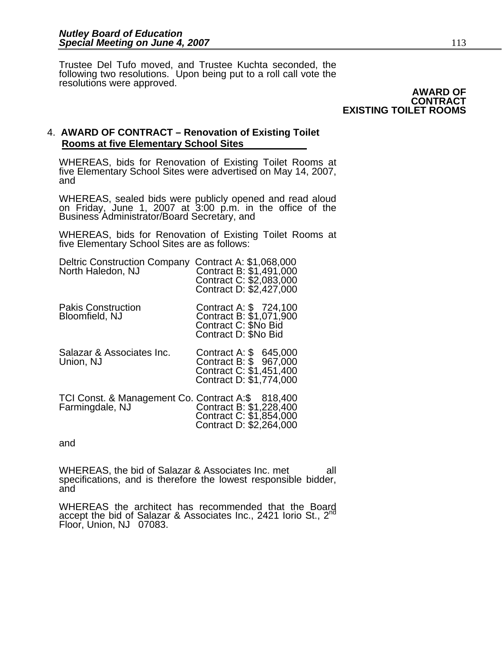Trustee Del Tufo moved, and Trustee Kuchta seconded, the following two resolutions. Upon being put to a roll call vote the resolutions were approved.

#### **AWARD OF CONTRACT EXISTING TOILET ROOMS**

# 4. **AWARD OF CONTRACT – Renovation of Existing Toilet Rooms at five Elementary School Sites**

WHEREAS, bids for Renovation of Existing Toilet Rooms at five Elementary School Sites were advertised on May 14, 2007, and

WHEREAS, sealed bids were publicly opened and read aloud on Friday, June 1, 2007 at 3:00 p.m. in the office of the Business Administrator/Board Secretary, and

WHEREAS, bids for Renovation of Existing Toilet Rooms at five Elementary School Sites are as follows:

| <b>Deltric Construction Company</b><br>North Haledon, NJ             | Contract A: \$1,068,000<br>Contract B: \$1,491,000<br>Contract C: \$2,083,000<br>Contract D: \$2,427,000 |
|----------------------------------------------------------------------|----------------------------------------------------------------------------------------------------------|
| <b>Pakis Construction</b><br>Bloomfield, NJ                          | Contract A: \$724,100<br>Contract B: \$1,071,900<br>Contract C: \$No Bid<br>Contract D: \$No Bid         |
| Salazar & Associates Inc.<br>Union, NJ                               | Contract A: \$ 645,000<br>Contract B: \$ 967,000<br>Contract C: \$1,451,400<br>Contract D: \$1,774,000   |
| TCI Const. & Management Co. Contract A:\$ 818,400<br>Farmingdale, NJ | Contract B: \$1,228,400<br>Contract C: \$1,854,000<br>Contract D: \$2,264,000                            |

and

WHEREAS, the bid of Salazar & Associates Inc. met all specifications, and is therefore the lowest responsible bidder, and

WHEREAS the architect has recommended that the Board accept the bid of Salazar & Associates Inc., 2421 Iorio St., 2<sup>nd</sup> Floor, Union, NJ 07083.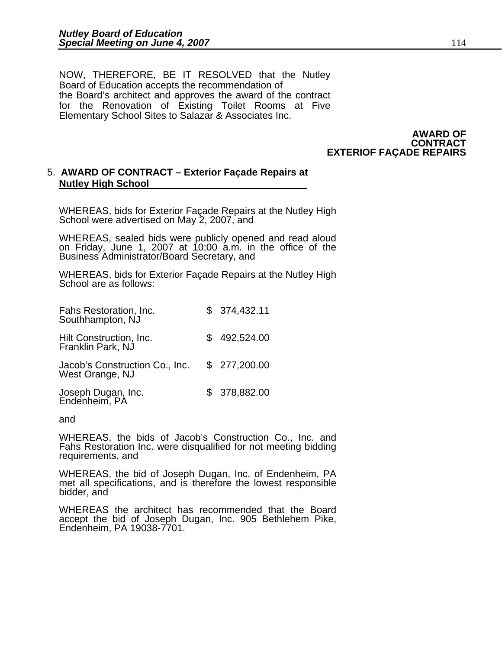NOW, THEREFORE, BE IT RESOLVED that the Nutley Board of Education accepts the recommendation of the Board's architect and approves the award of the contract for the Renovation of Existing Toilet Rooms at Five Elementary School Sites to Salazar & Associates Inc.

> **AWARD OF CONTRACT EXTERIOF FAÇADE REPAIRS**

# 5. **AWARD OF CONTRACT – Exterior Façade Repairs at Nutley High School**

WHEREAS, bids for Exterior Façade Repairs at the Nutley High School were advertised on May 2, 2007, and

WHEREAS, sealed bids were publicly opened and read aloud on Friday, June 1, 2007 at 10:00 a.m. in the office of the Business Administrator/Board Secretary, and

WHEREAS, bids for Exterior Façade Repairs at the Nutley High School are as follows:

| Fahs Restoration, Inc.<br>Southhampton, NJ        | \$374,432.11 |
|---------------------------------------------------|--------------|
| Hilt Construction, Inc.<br>Franklin Park, NJ      | 492,524.00   |
| Jacob's Construction Co., Inc.<br>West Orange, NJ | \$277,200.00 |
| Joseph Dugan, Inc.<br>Endenheim, PA               | \$378,882.00 |

and

 WHEREAS, the bids of Jacob's Construction Co., Inc. and Fahs Restoration Inc. were disqualified for not meeting bidding requirements, and

WHEREAS, the bid of Joseph Dugan, Inc. of Endenheim, PA met all specifications, and is therefore the lowest responsible bidder, and

WHEREAS the architect has recommended that the Board accept the bid of Joseph Dugan, Inc. 905 Bethlehem Pike, Endenheim, PA 19038-7701.